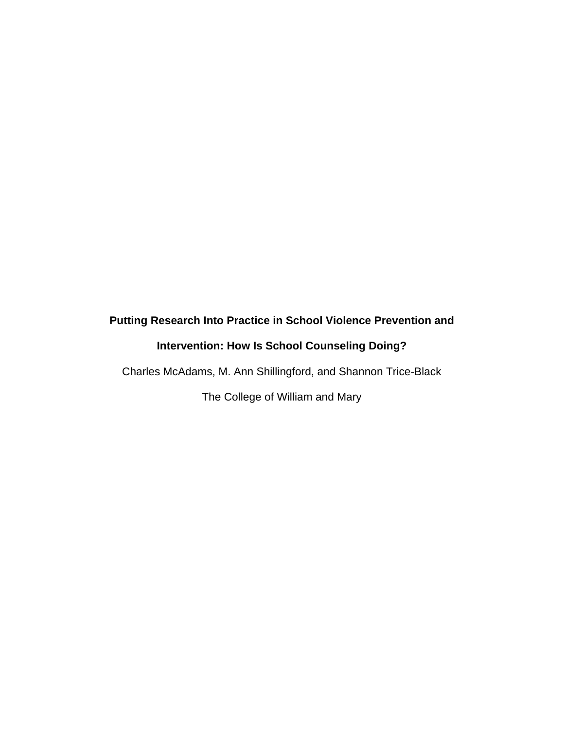# **Putting Research Into Practice in School Violence Prevention and Intervention: How Is School Counseling Doing?**

Charles McAdams, M. Ann Shillingford, and Shannon Trice-Black

The College of William and Mary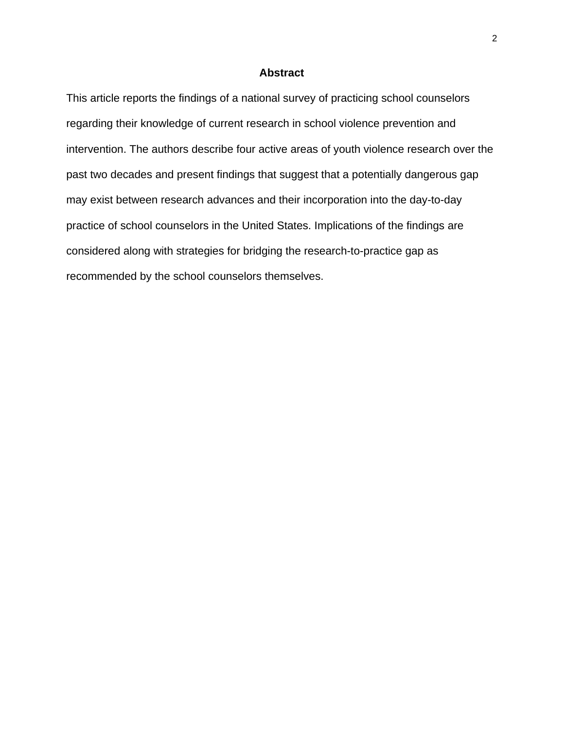# **Abstract**

This article reports the findings of a national survey of practicing school counselors regarding their knowledge of current research in school violence prevention and intervention. The authors describe four active areas of youth violence research over the past two decades and present findings that suggest that a potentially dangerous gap may exist between research advances and their incorporation into the day-to-day practice of school counselors in the United States. Implications of the findings are considered along with strategies for bridging the research-to-practice gap as recommended by the school counselors themselves.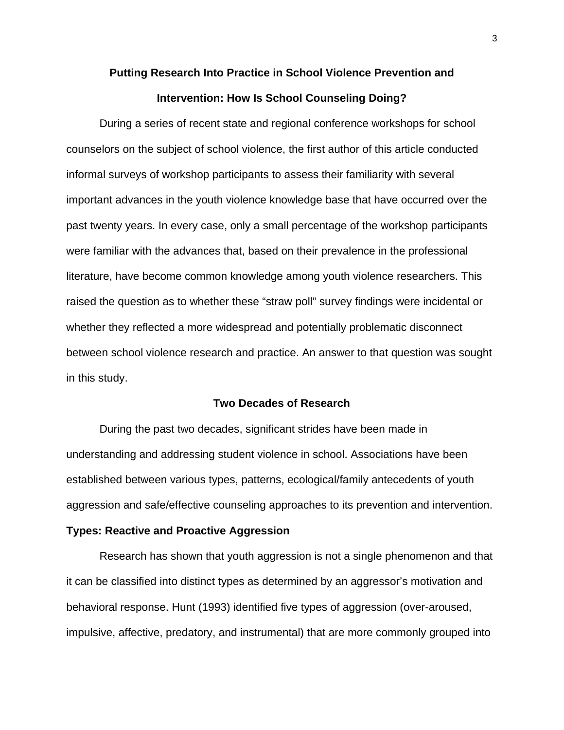# **Putting Research Into Practice in School Violence Prevention and Intervention: How Is School Counseling Doing?**

During a series of recent state and regional conference workshops for school counselors on the subject of school violence, the first author of this article conducted informal surveys of workshop participants to assess their familiarity with several important advances in the youth violence knowledge base that have occurred over the past twenty years. In every case, only a small percentage of the workshop participants were familiar with the advances that, based on their prevalence in the professional literature, have become common knowledge among youth violence researchers. This raised the question as to whether these "straw poll" survey findings were incidental or whether they reflected a more widespread and potentially problematic disconnect between school violence research and practice. An answer to that question was sought in this study.

# **Two Decades of Research**

During the past two decades, significant strides have been made in understanding and addressing student violence in school. Associations have been established between various types, patterns, ecological/family antecedents of youth aggression and safe/effective counseling approaches to its prevention and intervention.

#### **Types: Reactive and Proactive Aggression**

Research has shown that youth aggression is not a single phenomenon and that it can be classified into distinct types as determined by an aggressor's motivation and behavioral response. Hunt (1993) identified five types of aggression (over-aroused, impulsive, affective, predatory, and instrumental) that are more commonly grouped into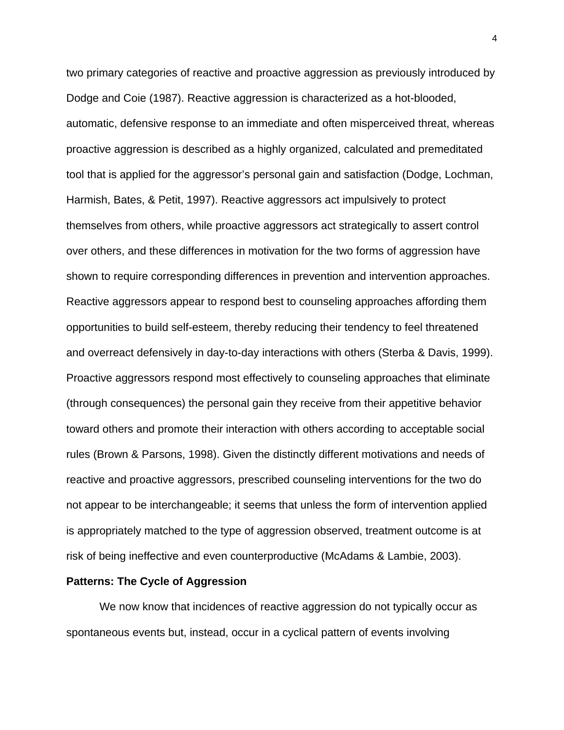two primary categories of reactive and proactive aggression as previously introduced by Dodge and Coie (1987). Reactive aggression is characterized as a hot-blooded, automatic, defensive response to an immediate and often misperceived threat, whereas proactive aggression is described as a highly organized, calculated and premeditated tool that is applied for the aggressor's personal gain and satisfaction (Dodge, Lochman, Harmish, Bates, & Petit, 1997). Reactive aggressors act impulsively to protect themselves from others, while proactive aggressors act strategically to assert control over others, and these differences in motivation for the two forms of aggression have shown to require corresponding differences in prevention and intervention approaches. Reactive aggressors appear to respond best to counseling approaches affording them opportunities to build self-esteem, thereby reducing their tendency to feel threatened and overreact defensively in day-to-day interactions with others (Sterba & Davis, 1999). Proactive aggressors respond most effectively to counseling approaches that eliminate (through consequences) the personal gain they receive from their appetitive behavior toward others and promote their interaction with others according to acceptable social rules (Brown & Parsons, 1998). Given the distinctly different motivations and needs of reactive and proactive aggressors, prescribed counseling interventions for the two do not appear to be interchangeable; it seems that unless the form of intervention applied is appropriately matched to the type of aggression observed, treatment outcome is at risk of being ineffective and even counterproductive (McAdams & Lambie, 2003).

#### **Patterns: The Cycle of Aggression**

We now know that incidences of reactive aggression do not typically occur as spontaneous events but, instead, occur in a cyclical pattern of events involving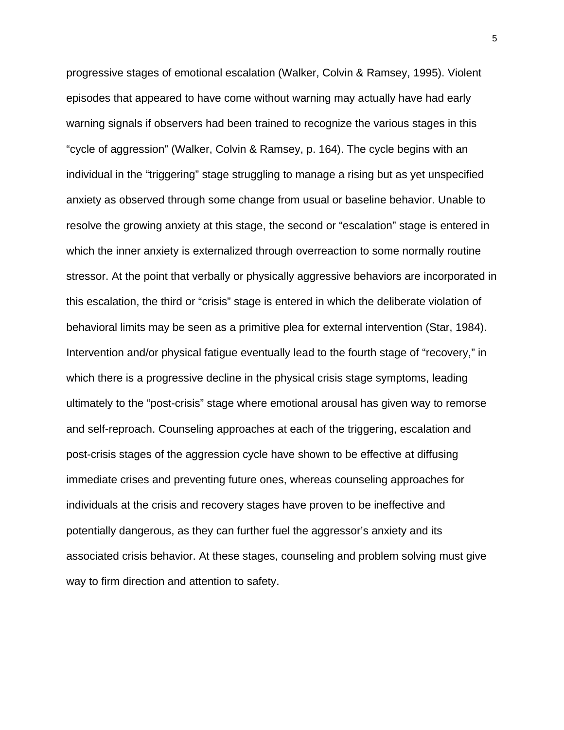progressive stages of emotional escalation (Walker, Colvin & Ramsey, 1995). Violent episodes that appeared to have come without warning may actually have had early warning signals if observers had been trained to recognize the various stages in this "cycle of aggression" (Walker, Colvin & Ramsey, p. 164). The cycle begins with an individual in the "triggering" stage struggling to manage a rising but as yet unspecified anxiety as observed through some change from usual or baseline behavior. Unable to resolve the growing anxiety at this stage, the second or "escalation" stage is entered in which the inner anxiety is externalized through overreaction to some normally routine stressor. At the point that verbally or physically aggressive behaviors are incorporated in this escalation, the third or "crisis" stage is entered in which the deliberate violation of behavioral limits may be seen as a primitive plea for external intervention (Star, 1984). Intervention and/or physical fatigue eventually lead to the fourth stage of "recovery," in which there is a progressive decline in the physical crisis stage symptoms, leading ultimately to the "post-crisis" stage where emotional arousal has given way to remorse and self-reproach. Counseling approaches at each of the triggering, escalation and post-crisis stages of the aggression cycle have shown to be effective at diffusing immediate crises and preventing future ones, whereas counseling approaches for individuals at the crisis and recovery stages have proven to be ineffective and potentially dangerous, as they can further fuel the aggressor's anxiety and its associated crisis behavior. At these stages, counseling and problem solving must give way to firm direction and attention to safety.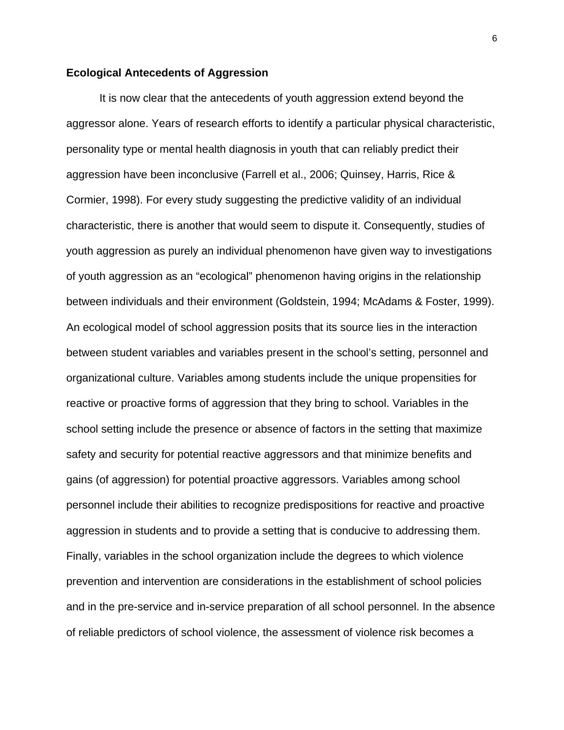## **Ecological Antecedents of Aggression**

It is now clear that the antecedents of youth aggression extend beyond the aggressor alone. Years of research efforts to identify a particular physical characteristic, personality type or mental health diagnosis in youth that can reliably predict their aggression have been inconclusive (Farrell et al., 2006; Quinsey, Harris, Rice & Cormier, 1998). For every study suggesting the predictive validity of an individual characteristic, there is another that would seem to dispute it. Consequently, studies of youth aggression as purely an individual phenomenon have given way to investigations of youth aggression as an "ecological" phenomenon having origins in the relationship between individuals and their environment (Goldstein, 1994; McAdams & Foster, 1999). An ecological model of school aggression posits that its source lies in the interaction between student variables and variables present in the school's setting, personnel and organizational culture. Variables among students include the unique propensities for reactive or proactive forms of aggression that they bring to school. Variables in the school setting include the presence or absence of factors in the setting that maximize safety and security for potential reactive aggressors and that minimize benefits and gains (of aggression) for potential proactive aggressors. Variables among school personnel include their abilities to recognize predispositions for reactive and proactive aggression in students and to provide a setting that is conducive to addressing them. Finally, variables in the school organization include the degrees to which violence prevention and intervention are considerations in the establishment of school policies and in the pre-service and in-service preparation of all school personnel. In the absence of reliable predictors of school violence, the assessment of violence risk becomes a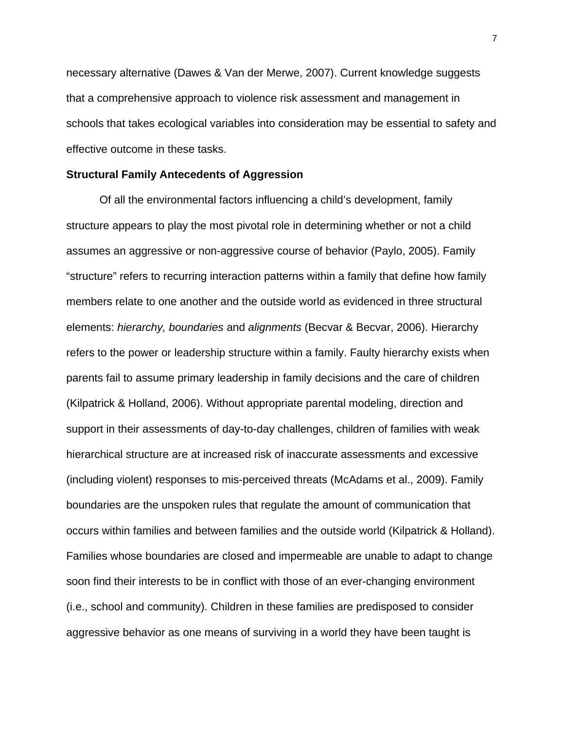necessary alternative (Dawes & Van der Merwe, 2007). Current knowledge suggests that a comprehensive approach to violence risk assessment and management in schools that takes ecological variables into consideration may be essential to safety and effective outcome in these tasks.

### **Structural Family Antecedents of Aggression**

Of all the environmental factors influencing a child's development, family structure appears to play the most pivotal role in determining whether or not a child assumes an aggressive or non-aggressive course of behavior (Paylo, 2005). Family "structure" refers to recurring interaction patterns within a family that define how family members relate to one another and the outside world as evidenced in three structural elements: *hierarchy, boundaries* and *alignments* (Becvar & Becvar, 2006). Hierarchy refers to the power or leadership structure within a family. Faulty hierarchy exists when parents fail to assume primary leadership in family decisions and the care of children (Kilpatrick & Holland, 2006). Without appropriate parental modeling, direction and support in their assessments of day-to-day challenges, children of families with weak hierarchical structure are at increased risk of inaccurate assessments and excessive (including violent) responses to mis-perceived threats (McAdams et al., 2009). Family boundaries are the unspoken rules that regulate the amount of communication that occurs within families and between families and the outside world (Kilpatrick & Holland). Families whose boundaries are closed and impermeable are unable to adapt to change soon find their interests to be in conflict with those of an ever-changing environment (i.e., school and community). Children in these families are predisposed to consider aggressive behavior as one means of surviving in a world they have been taught is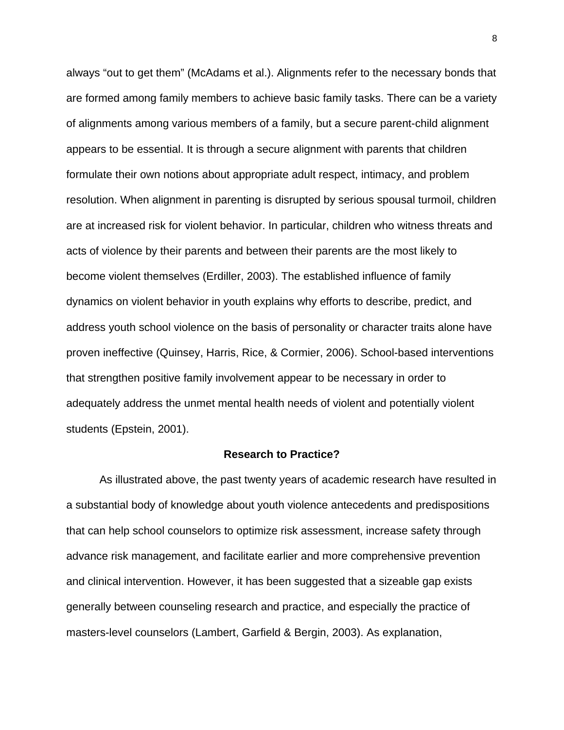always "out to get them" (McAdams et al.). Alignments refer to the necessary bonds that are formed among family members to achieve basic family tasks. There can be a variety of alignments among various members of a family, but a secure parent-child alignment appears to be essential. It is through a secure alignment with parents that children formulate their own notions about appropriate adult respect, intimacy, and problem resolution. When alignment in parenting is disrupted by serious spousal turmoil, children are at increased risk for violent behavior. In particular, children who witness threats and acts of violence by their parents and between their parents are the most likely to become violent themselves (Erdiller, 2003). The established influence of family dynamics on violent behavior in youth explains why efforts to describe, predict, and address youth school violence on the basis of personality or character traits alone have proven ineffective (Quinsey, Harris, Rice, & Cormier, 2006). School-based interventions that strengthen positive family involvement appear to be necessary in order to adequately address the unmet mental health needs of violent and potentially violent students (Epstein, 2001).

# **Research to Practice?**

As illustrated above, the past twenty years of academic research have resulted in a substantial body of knowledge about youth violence antecedents and predispositions that can help school counselors to optimize risk assessment, increase safety through advance risk management, and facilitate earlier and more comprehensive prevention and clinical intervention. However, it has been suggested that a sizeable gap exists generally between counseling research and practice, and especially the practice of masters-level counselors (Lambert, Garfield & Bergin, 2003). As explanation,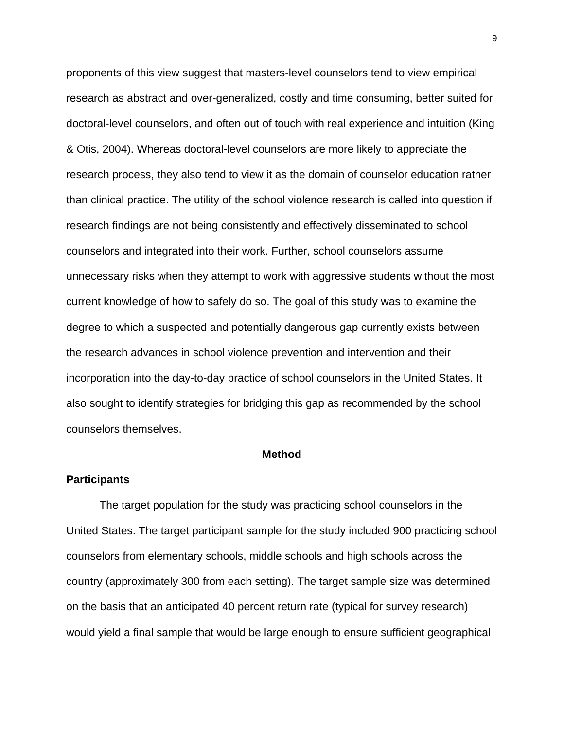proponents of this view suggest that masters-level counselors tend to view empirical research as abstract and over-generalized, costly and time consuming, better suited for doctoral-level counselors, and often out of touch with real experience and intuition (King & Otis, 2004). Whereas doctoral-level counselors are more likely to appreciate the research process, they also tend to view it as the domain of counselor education rather than clinical practice. The utility of the school violence research is called into question if research findings are not being consistently and effectively disseminated to school counselors and integrated into their work. Further, school counselors assume unnecessary risks when they attempt to work with aggressive students without the most current knowledge of how to safely do so. The goal of this study was to examine the degree to which a suspected and potentially dangerous gap currently exists between the research advances in school violence prevention and intervention and their incorporation into the day-to-day practice of school counselors in the United States. It also sought to identify strategies for bridging this gap as recommended by the school counselors themselves.

# **Method**

#### **Participants**

The target population for the study was practicing school counselors in the United States. The target participant sample for the study included 900 practicing school counselors from elementary schools, middle schools and high schools across the country (approximately 300 from each setting). The target sample size was determined on the basis that an anticipated 40 percent return rate (typical for survey research) would yield a final sample that would be large enough to ensure sufficient geographical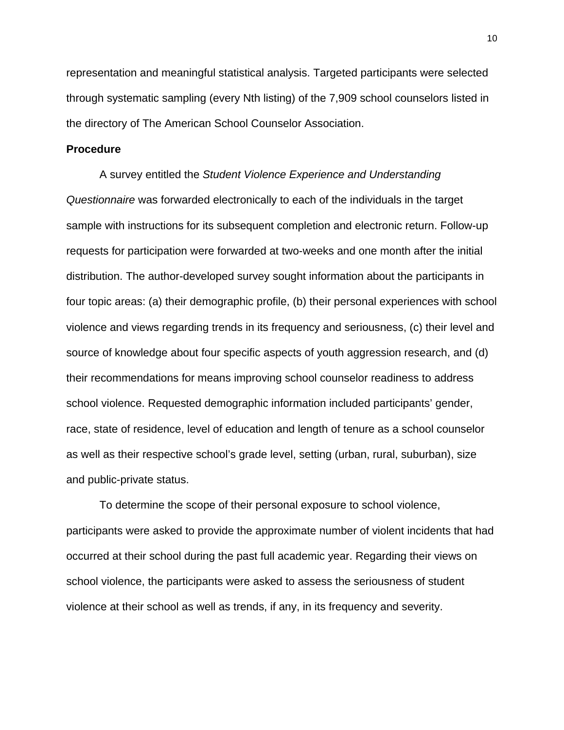representation and meaningful statistical analysis. Targeted participants were selected through systematic sampling (every Nth listing) of the 7,909 school counselors listed in the directory of The American School Counselor Association.

# **Procedure**

A survey entitled the *Student Violence Experience and Understanding Questionnaire* was forwarded electronically to each of the individuals in the target sample with instructions for its subsequent completion and electronic return. Follow-up requests for participation were forwarded at two-weeks and one month after the initial distribution. The author-developed survey sought information about the participants in four topic areas: (a) their demographic profile, (b) their personal experiences with school violence and views regarding trends in its frequency and seriousness, (c) their level and source of knowledge about four specific aspects of youth aggression research, and (d) their recommendations for means improving school counselor readiness to address school violence. Requested demographic information included participants' gender, race, state of residence, level of education and length of tenure as a school counselor as well as their respective school's grade level, setting (urban, rural, suburban), size and public-private status.

To determine the scope of their personal exposure to school violence, participants were asked to provide the approximate number of violent incidents that had occurred at their school during the past full academic year. Regarding their views on school violence, the participants were asked to assess the seriousness of student violence at their school as well as trends, if any, in its frequency and severity.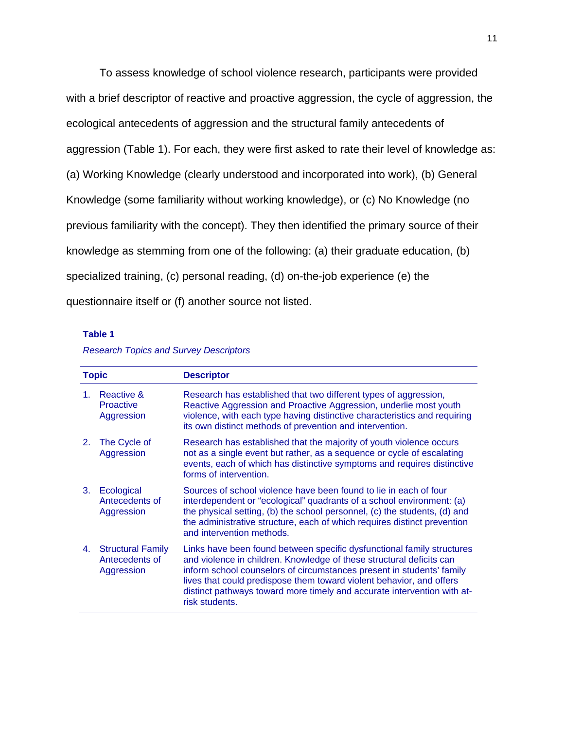To assess knowledge of school violence research, participants were provided with a brief descriptor of reactive and proactive aggression, the cycle of aggression, the ecological antecedents of aggression and the structural family antecedents of aggression (Table 1). For each, they were first asked to rate their level of knowledge as: (a) Working Knowledge (clearly understood and incorporated into work), (b) General Knowledge (some familiarity without working knowledge), or (c) No Knowledge (no previous familiarity with the concept). They then identified the primary source of their knowledge as stemming from one of the following: (a) their graduate education, (b) specialized training, (c) personal reading, (d) on-the-job experience (e) the questionnaire itself or (f) another source not listed.

#### **Table 1**

#### *Research Topics and Survey Descriptors*

| <b>Topic</b> |                                                          | <b>Descriptor</b>                                                                                                                                                                                                                                                                                                                                                                            |  |  |
|--------------|----------------------------------------------------------|----------------------------------------------------------------------------------------------------------------------------------------------------------------------------------------------------------------------------------------------------------------------------------------------------------------------------------------------------------------------------------------------|--|--|
| 1.           | Reactive &<br><b>Proactive</b><br>Aggression             | Research has established that two different types of aggression,<br>Reactive Aggression and Proactive Aggression, underlie most youth<br>violence, with each type having distinctive characteristics and requiring<br>its own distinct methods of prevention and intervention.                                                                                                               |  |  |
| 2.           | The Cycle of<br>Aggression                               | Research has established that the majority of youth violence occurs<br>not as a single event but rather, as a sequence or cycle of escalating<br>events, each of which has distinctive symptoms and requires distinctive<br>forms of intervention.                                                                                                                                           |  |  |
| 3.           | Ecological<br>Antecedents of<br>Aggression               | Sources of school violence have been found to lie in each of four<br>interdependent or "ecological" quadrants of a school environment: (a)<br>the physical setting, (b) the school personnel, (c) the students, (d) and<br>the administrative structure, each of which requires distinct prevention<br>and intervention methods.                                                             |  |  |
| 4.           | <b>Structural Family</b><br>Antecedents of<br>Aggression | Links have been found between specific dysfunctional family structures<br>and violence in children. Knowledge of these structural deficits can<br>inform school counselors of circumstances present in students' family<br>lives that could predispose them toward violent behavior, and offers<br>distinct pathways toward more timely and accurate intervention with at-<br>risk students. |  |  |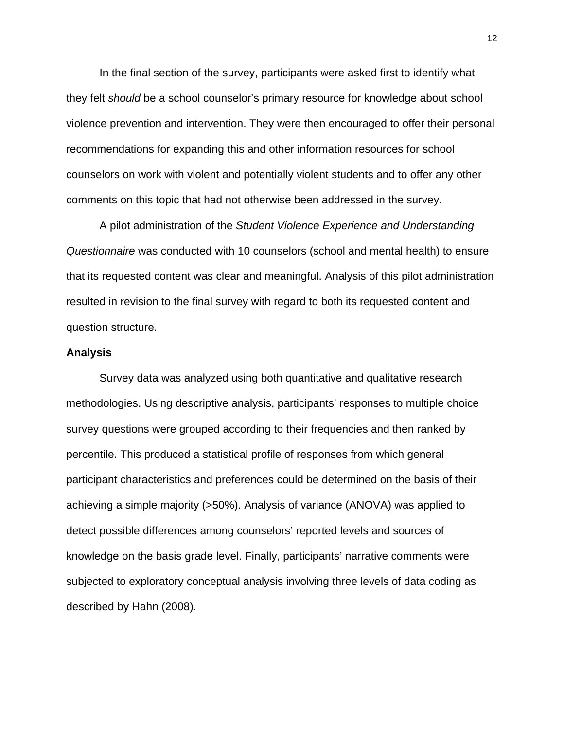In the final section of the survey, participants were asked first to identify what they felt *should* be a school counselor's primary resource for knowledge about school violence prevention and intervention. They were then encouraged to offer their personal recommendations for expanding this and other information resources for school counselors on work with violent and potentially violent students and to offer any other comments on this topic that had not otherwise been addressed in the survey.

A pilot administration of the *Student Violence Experience and Understanding Questionnaire* was conducted with 10 counselors (school and mental health) to ensure that its requested content was clear and meaningful. Analysis of this pilot administration resulted in revision to the final survey with regard to both its requested content and question structure.

## **Analysis**

Survey data was analyzed using both quantitative and qualitative research methodologies. Using descriptive analysis, participants' responses to multiple choice survey questions were grouped according to their frequencies and then ranked by percentile. This produced a statistical profile of responses from which general participant characteristics and preferences could be determined on the basis of their achieving a simple majority (>50%). Analysis of variance (ANOVA) was applied to detect possible differences among counselors' reported levels and sources of knowledge on the basis grade level. Finally, participants' narrative comments were subjected to exploratory conceptual analysis involving three levels of data coding as described by Hahn (2008).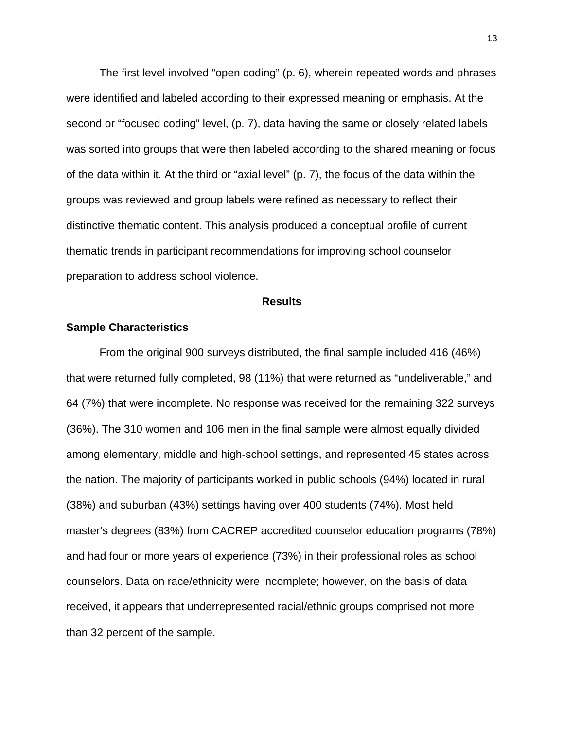The first level involved "open coding" (p. 6), wherein repeated words and phrases were identified and labeled according to their expressed meaning or emphasis. At the second or "focused coding" level, (p. 7), data having the same or closely related labels was sorted into groups that were then labeled according to the shared meaning or focus of the data within it. At the third or "axial level" (p. 7), the focus of the data within the groups was reviewed and group labels were refined as necessary to reflect their distinctive thematic content. This analysis produced a conceptual profile of current thematic trends in participant recommendations for improving school counselor preparation to address school violence.

#### **Results**

#### **Sample Characteristics**

From the original 900 surveys distributed, the final sample included 416 (46%) that were returned fully completed, 98 (11%) that were returned as "undeliverable," and 64 (7%) that were incomplete. No response was received for the remaining 322 surveys (36%). The 310 women and 106 men in the final sample were almost equally divided among elementary, middle and high-school settings, and represented 45 states across the nation. The majority of participants worked in public schools (94%) located in rural (38%) and suburban (43%) settings having over 400 students (74%). Most held master's degrees (83%) from CACREP accredited counselor education programs (78%) and had four or more years of experience (73%) in their professional roles as school counselors. Data on race/ethnicity were incomplete; however, on the basis of data received, it appears that underrepresented racial/ethnic groups comprised not more than 32 percent of the sample.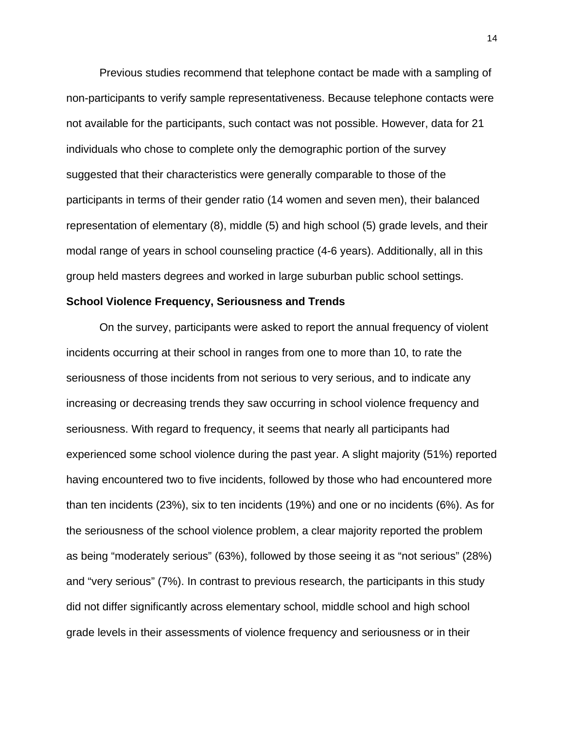Previous studies recommend that telephone contact be made with a sampling of non-participants to verify sample representativeness. Because telephone contacts were not available for the participants, such contact was not possible. However, data for 21 individuals who chose to complete only the demographic portion of the survey suggested that their characteristics were generally comparable to those of the participants in terms of their gender ratio (14 women and seven men), their balanced representation of elementary (8), middle (5) and high school (5) grade levels, and their modal range of years in school counseling practice (4-6 years). Additionally, all in this group held masters degrees and worked in large suburban public school settings.

#### **School Violence Frequency, Seriousness and Trends**

On the survey, participants were asked to report the annual frequency of violent incidents occurring at their school in ranges from one to more than 10, to rate the seriousness of those incidents from not serious to very serious, and to indicate any increasing or decreasing trends they saw occurring in school violence frequency and seriousness. With regard to frequency, it seems that nearly all participants had experienced some school violence during the past year. A slight majority (51%) reported having encountered two to five incidents, followed by those who had encountered more than ten incidents (23%), six to ten incidents (19%) and one or no incidents (6%). As for the seriousness of the school violence problem, a clear majority reported the problem as being "moderately serious" (63%), followed by those seeing it as "not serious" (28%) and "very serious" (7%). In contrast to previous research, the participants in this study did not differ significantly across elementary school, middle school and high school grade levels in their assessments of violence frequency and seriousness or in their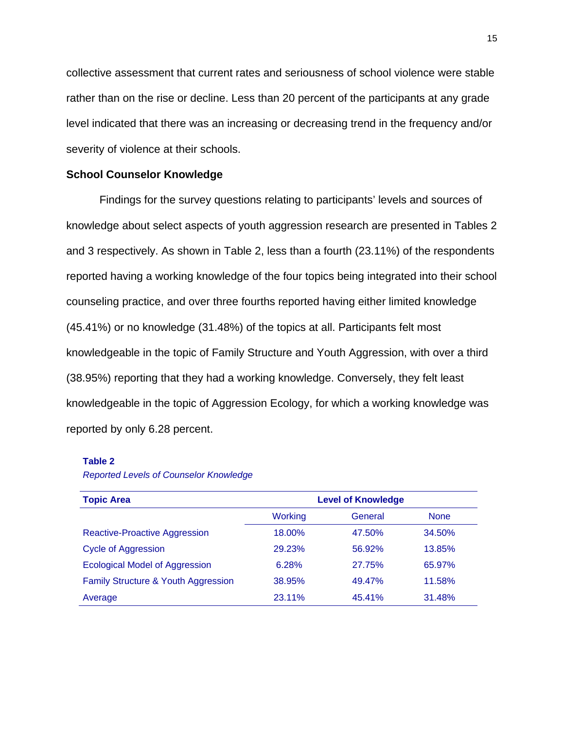collective assessment that current rates and seriousness of school violence were stable rather than on the rise or decline. Less than 20 percent of the participants at any grade level indicated that there was an increasing or decreasing trend in the frequency and/or severity of violence at their schools.

# **School Counselor Knowledge**

Findings for the survey questions relating to participants' levels and sources of knowledge about select aspects of youth aggression research are presented in Tables 2 and 3 respectively. As shown in Table 2, less than a fourth (23.11%) of the respondents reported having a working knowledge of the four topics being integrated into their school counseling practice, and over three fourths reported having either limited knowledge (45.41%) or no knowledge (31.48%) of the topics at all. Participants felt most knowledgeable in the topic of Family Structure and Youth Aggression, with over a third (38.95%) reporting that they had a working knowledge. Conversely, they felt least knowledgeable in the topic of Aggression Ecology, for which a working knowledge was reported by only 6.28 percent.

#### **Table 2**

*Reported Levels of Counselor Knowledge* 

| <b>Topic Area</b>                     |                | <b>Level of Knowledge</b> |             |
|---------------------------------------|----------------|---------------------------|-------------|
|                                       | <b>Working</b> | General                   | <b>None</b> |
| <b>Reactive-Proactive Aggression</b>  | 18.00%         | 47.50%                    | 34.50%      |
| <b>Cycle of Aggression</b>            | 29.23%         | 56.92%                    | 13.85%      |
| <b>Ecological Model of Aggression</b> | 6.28%          | 27.75%                    | 65.97%      |
| Family Structure & Youth Aggression   | 38.95%         | 49.47%                    | 11.58%      |
| Average                               | 23.11%         | 45.41%                    | 31.48%      |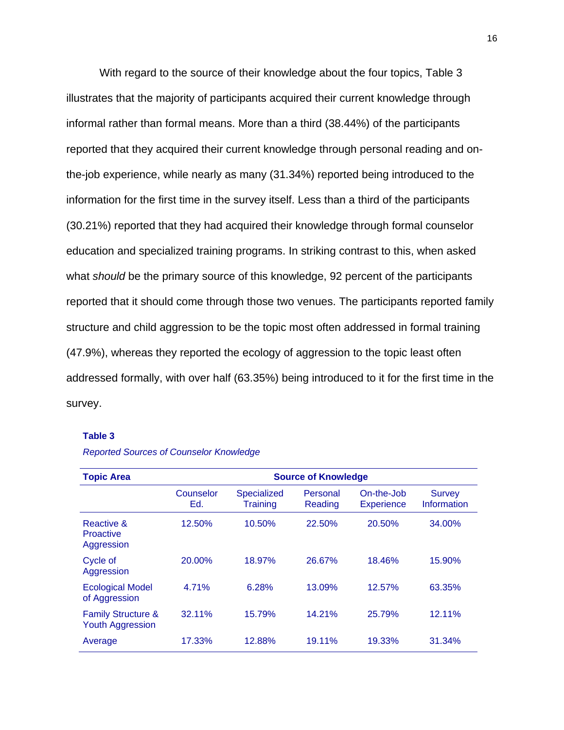With regard to the source of their knowledge about the four topics, Table 3 illustrates that the majority of participants acquired their current knowledge through informal rather than formal means. More than a third (38.44%) of the participants reported that they acquired their current knowledge through personal reading and onthe-job experience, while nearly as many (31.34%) reported being introduced to the information for the first time in the survey itself. Less than a third of the participants (30.21%) reported that they had acquired their knowledge through formal counselor education and specialized training programs. In striking contrast to this, when asked what *should* be the primary source of this knowledge, 92 percent of the participants reported that it should come through those two venues. The participants reported family structure and child aggression to be the topic most often addressed in formal training (47.9%), whereas they reported the ecology of aggression to the topic least often addressed formally, with over half (63.35%) being introduced to it for the first time in the survey.

#### **Table 3**

| <b>Topic Area</b>                                        | <b>Source of Knowledge</b> |                         |                     |                                 |                              |  |  |
|----------------------------------------------------------|----------------------------|-------------------------|---------------------|---------------------------------|------------------------------|--|--|
|                                                          | Counselor<br>Ed.           | Specialized<br>Training | Personal<br>Reading | On-the-Job<br><b>Experience</b> | <b>Survey</b><br>Information |  |  |
| Reactive &<br><b>Proactive</b><br>Aggression             | 12.50%                     | 10.50%                  | 22.50%              | 20.50%                          | 34.00%                       |  |  |
| Cycle of<br>Aggression                                   | 20.00%                     | 18.97%                  | 26.67%              | 18.46%                          | 15.90%                       |  |  |
| <b>Ecological Model</b><br>of Aggression                 | 4.71%                      | 6.28%                   | 13.09%              | 12.57%                          | 63.35%                       |  |  |
| <b>Family Structure &amp;</b><br><b>Youth Aggression</b> | 32.11%                     | 15.79%                  | 14.21%              | 25.79%                          | 12.11%                       |  |  |
| Average                                                  | 17.33%                     | 12.88%                  | 19.11%              | 19.33%                          | 31.34%                       |  |  |

*Reported Sources of Counselor Knowledge*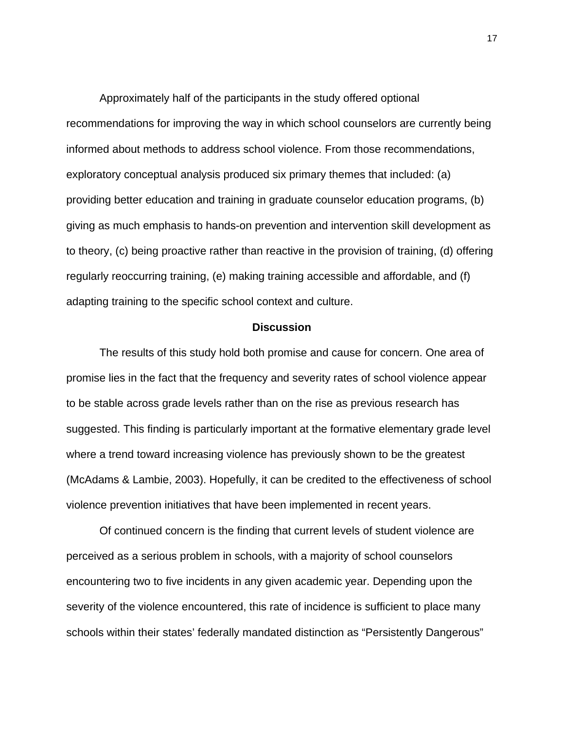Approximately half of the participants in the study offered optional recommendations for improving the way in which school counselors are currently being informed about methods to address school violence. From those recommendations, exploratory conceptual analysis produced six primary themes that included: (a) providing better education and training in graduate counselor education programs, (b) giving as much emphasis to hands-on prevention and intervention skill development as to theory, (c) being proactive rather than reactive in the provision of training, (d) offering regularly reoccurring training, (e) making training accessible and affordable, and (f) adapting training to the specific school context and culture.

#### **Discussion**

The results of this study hold both promise and cause for concern. One area of promise lies in the fact that the frequency and severity rates of school violence appear to be stable across grade levels rather than on the rise as previous research has suggested. This finding is particularly important at the formative elementary grade level where a trend toward increasing violence has previously shown to be the greatest (McAdams & Lambie, 2003). Hopefully, it can be credited to the effectiveness of school violence prevention initiatives that have been implemented in recent years.

Of continued concern is the finding that current levels of student violence are perceived as a serious problem in schools, with a majority of school counselors encountering two to five incidents in any given academic year. Depending upon the severity of the violence encountered, this rate of incidence is sufficient to place many schools within their states' federally mandated distinction as "Persistently Dangerous"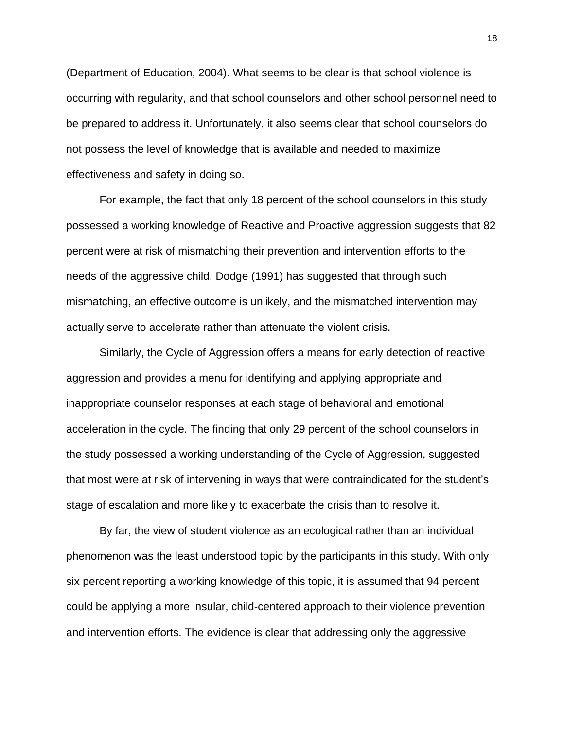(Department of Education, 2004). What seems to be clear is that school violence is occurring with regularity, and that school counselors and other school personnel need to be prepared to address it. Unfortunately, it also seems clear that school counselors do not possess the level of knowledge that is available and needed to maximize effectiveness and safety in doing so.

For example, the fact that only 18 percent of the school counselors in this study possessed a working knowledge of Reactive and Proactive aggression suggests that 82 percent were at risk of mismatching their prevention and intervention efforts to the needs of the aggressive child. Dodge (1991) has suggested that through such mismatching, an effective outcome is unlikely, and the mismatched intervention may actually serve to accelerate rather than attenuate the violent crisis.

Similarly, the Cycle of Aggression offers a means for early detection of reactive aggression and provides a menu for identifying and applying appropriate and inappropriate counselor responses at each stage of behavioral and emotional acceleration in the cycle. The finding that only 29 percent of the school counselors in the study possessed a working understanding of the Cycle of Aggression, suggested that most were at risk of intervening in ways that were contraindicated for the student's stage of escalation and more likely to exacerbate the crisis than to resolve it.

By far, the view of student violence as an ecological rather than an individual phenomenon was the least understood topic by the participants in this study. With only six percent reporting a working knowledge of this topic, it is assumed that 94 percent could be applying a more insular, child-centered approach to their violence prevention and intervention efforts. The evidence is clear that addressing only the aggressive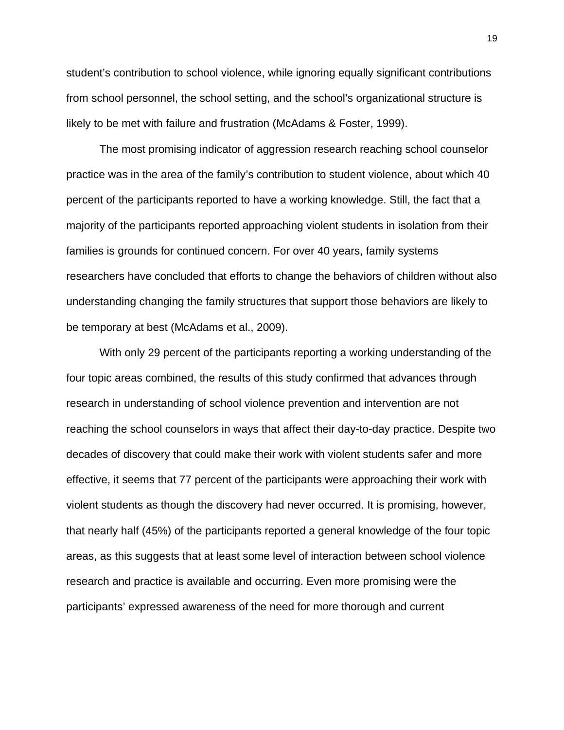student's contribution to school violence, while ignoring equally significant contributions from school personnel, the school setting, and the school's organizational structure is likely to be met with failure and frustration (McAdams & Foster, 1999).

The most promising indicator of aggression research reaching school counselor practice was in the area of the family's contribution to student violence, about which 40 percent of the participants reported to have a working knowledge. Still, the fact that a majority of the participants reported approaching violent students in isolation from their families is grounds for continued concern. For over 40 years, family systems researchers have concluded that efforts to change the behaviors of children without also understanding changing the family structures that support those behaviors are likely to be temporary at best (McAdams et al., 2009).

With only 29 percent of the participants reporting a working understanding of the four topic areas combined, the results of this study confirmed that advances through research in understanding of school violence prevention and intervention are not reaching the school counselors in ways that affect their day-to-day practice. Despite two decades of discovery that could make their work with violent students safer and more effective, it seems that 77 percent of the participants were approaching their work with violent students as though the discovery had never occurred. It is promising, however, that nearly half (45%) of the participants reported a general knowledge of the four topic areas, as this suggests that at least some level of interaction between school violence research and practice is available and occurring. Even more promising were the participants' expressed awareness of the need for more thorough and current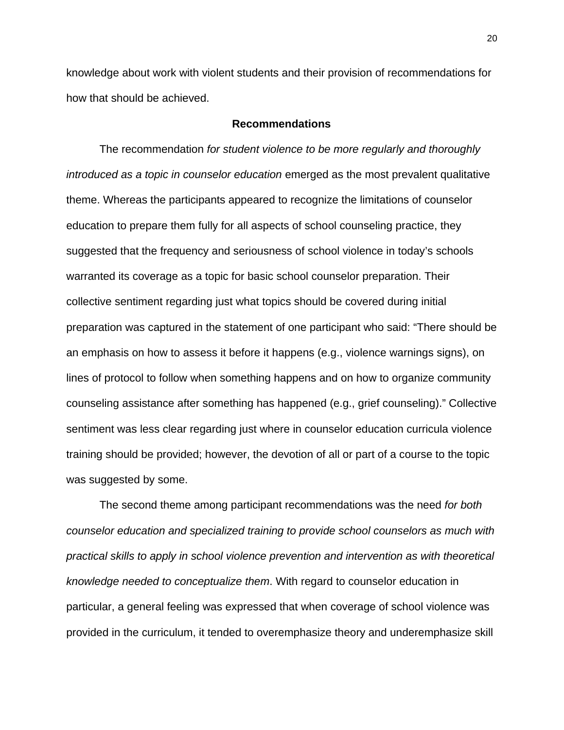knowledge about work with violent students and their provision of recommendations for how that should be achieved.

# **Recommendations**

The recommendation *for student violence to be more regularly and thoroughly introduced as a topic in counselor education* emerged as the most prevalent qualitative theme. Whereas the participants appeared to recognize the limitations of counselor education to prepare them fully for all aspects of school counseling practice, they suggested that the frequency and seriousness of school violence in today's schools warranted its coverage as a topic for basic school counselor preparation. Their collective sentiment regarding just what topics should be covered during initial preparation was captured in the statement of one participant who said: "There should be an emphasis on how to assess it before it happens (e.g., violence warnings signs), on lines of protocol to follow when something happens and on how to organize community counseling assistance after something has happened (e.g., grief counseling)." Collective sentiment was less clear regarding just where in counselor education curricula violence training should be provided; however, the devotion of all or part of a course to the topic was suggested by some.

The second theme among participant recommendations was the need *for both counselor education and specialized training to provide school counselors as much with practical skills to apply in school violence prevention and intervention as with theoretical knowledge needed to conceptualize them*. With regard to counselor education in particular, a general feeling was expressed that when coverage of school violence was provided in the curriculum, it tended to overemphasize theory and underemphasize skill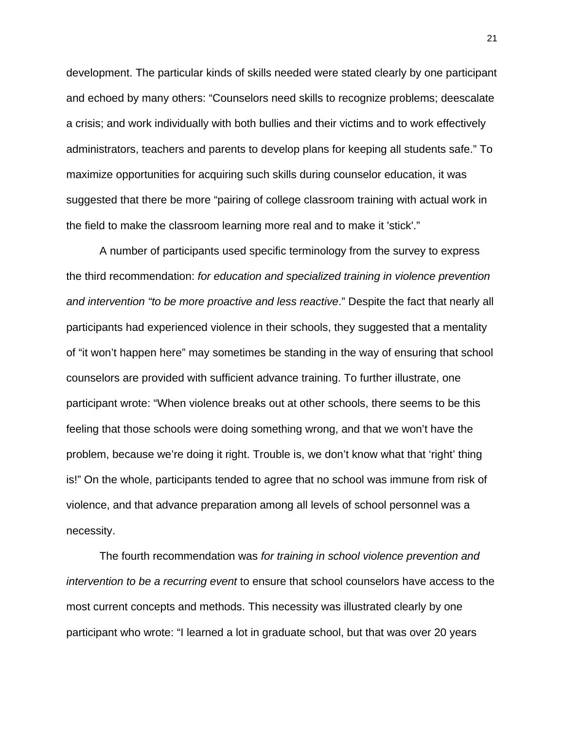development. The particular kinds of skills needed were stated clearly by one participant and echoed by many others: "Counselors need skills to recognize problems; deescalate a crisis; and work individually with both bullies and their victims and to work effectively administrators, teachers and parents to develop plans for keeping all students safe." To maximize opportunities for acquiring such skills during counselor education, it was suggested that there be more "pairing of college classroom training with actual work in the field to make the classroom learning more real and to make it 'stick'."

A number of participants used specific terminology from the survey to express the third recommendation: *for education and specialized training in violence prevention and intervention "to be more proactive and less reactive*." Despite the fact that nearly all participants had experienced violence in their schools, they suggested that a mentality of "it won't happen here" may sometimes be standing in the way of ensuring that school counselors are provided with sufficient advance training. To further illustrate, one participant wrote: "When violence breaks out at other schools, there seems to be this feeling that those schools were doing something wrong, and that we won't have the problem, because we're doing it right. Trouble is, we don't know what that 'right' thing is!" On the whole, participants tended to agree that no school was immune from risk of violence, and that advance preparation among all levels of school personnel was a necessity.

The fourth recommendation was *for training in school violence prevention and intervention to be a recurring event* to ensure that school counselors have access to the most current concepts and methods. This necessity was illustrated clearly by one participant who wrote: "I learned a lot in graduate school, but that was over 20 years

21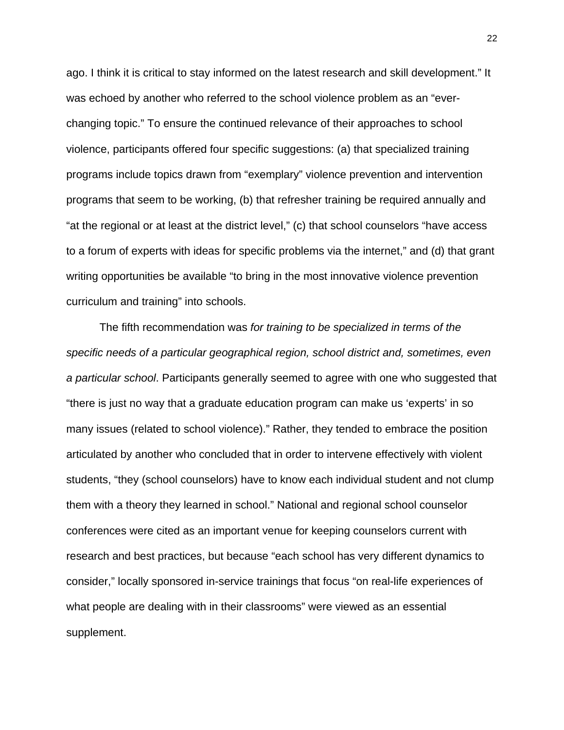ago. I think it is critical to stay informed on the latest research and skill development." It was echoed by another who referred to the school violence problem as an "everchanging topic." To ensure the continued relevance of their approaches to school violence, participants offered four specific suggestions: (a) that specialized training programs include topics drawn from "exemplary" violence prevention and intervention programs that seem to be working, (b) that refresher training be required annually and "at the regional or at least at the district level," (c) that school counselors "have access to a forum of experts with ideas for specific problems via the internet," and (d) that grant writing opportunities be available "to bring in the most innovative violence prevention curriculum and training" into schools.

The fifth recommendation was *for training to be specialized in terms of the specific needs of a particular geographical region, school district and, sometimes, even a particular school*. Participants generally seemed to agree with one who suggested that "there is just no way that a graduate education program can make us 'experts' in so many issues (related to school violence)." Rather, they tended to embrace the position articulated by another who concluded that in order to intervene effectively with violent students, "they (school counselors) have to know each individual student and not clump them with a theory they learned in school." National and regional school counselor conferences were cited as an important venue for keeping counselors current with research and best practices, but because "each school has very different dynamics to consider," locally sponsored in-service trainings that focus "on real-life experiences of what people are dealing with in their classrooms" were viewed as an essential supplement.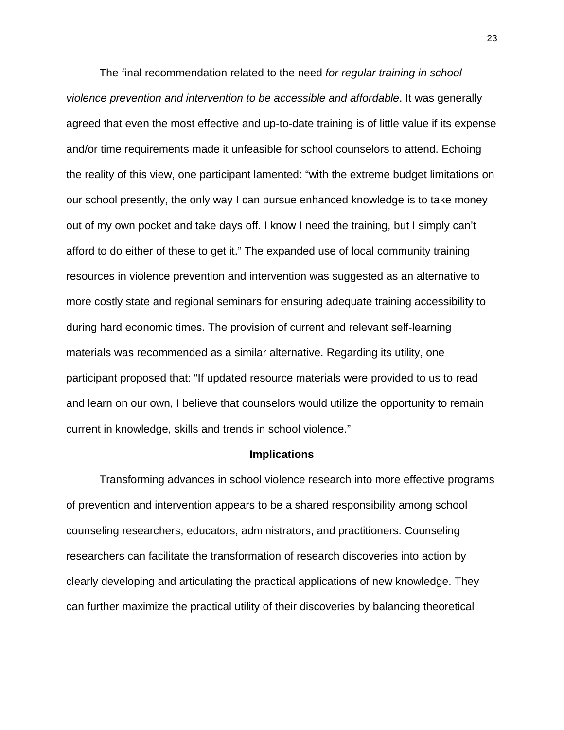The final recommendation related to the need *for regular training in school violence prevention and intervention to be accessible and affordable*. It was generally agreed that even the most effective and up-to-date training is of little value if its expense and/or time requirements made it unfeasible for school counselors to attend. Echoing the reality of this view, one participant lamented: "with the extreme budget limitations on our school presently, the only way I can pursue enhanced knowledge is to take money out of my own pocket and take days off. I know I need the training, but I simply can't afford to do either of these to get it." The expanded use of local community training resources in violence prevention and intervention was suggested as an alternative to more costly state and regional seminars for ensuring adequate training accessibility to during hard economic times. The provision of current and relevant self-learning materials was recommended as a similar alternative. Regarding its utility, one participant proposed that: "If updated resource materials were provided to us to read and learn on our own, I believe that counselors would utilize the opportunity to remain current in knowledge, skills and trends in school violence."

#### **Implications**

Transforming advances in school violence research into more effective programs of prevention and intervention appears to be a shared responsibility among school counseling researchers, educators, administrators, and practitioners. Counseling researchers can facilitate the transformation of research discoveries into action by clearly developing and articulating the practical applications of new knowledge. They can further maximize the practical utility of their discoveries by balancing theoretical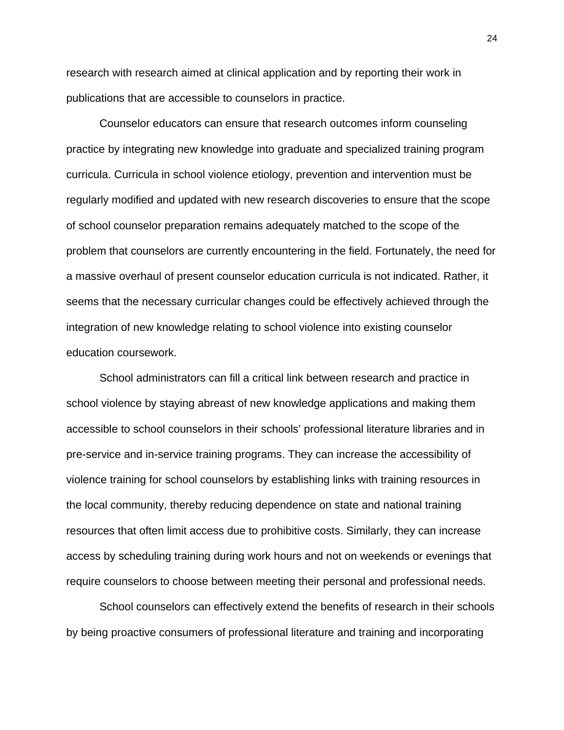research with research aimed at clinical application and by reporting their work in publications that are accessible to counselors in practice.

Counselor educators can ensure that research outcomes inform counseling practice by integrating new knowledge into graduate and specialized training program curricula. Curricula in school violence etiology, prevention and intervention must be regularly modified and updated with new research discoveries to ensure that the scope of school counselor preparation remains adequately matched to the scope of the problem that counselors are currently encountering in the field. Fortunately, the need for a massive overhaul of present counselor education curricula is not indicated. Rather, it seems that the necessary curricular changes could be effectively achieved through the integration of new knowledge relating to school violence into existing counselor education coursework.

School administrators can fill a critical link between research and practice in school violence by staying abreast of new knowledge applications and making them accessible to school counselors in their schools' professional literature libraries and in pre-service and in-service training programs. They can increase the accessibility of violence training for school counselors by establishing links with training resources in the local community, thereby reducing dependence on state and national training resources that often limit access due to prohibitive costs. Similarly, they can increase access by scheduling training during work hours and not on weekends or evenings that require counselors to choose between meeting their personal and professional needs.

School counselors can effectively extend the benefits of research in their schools by being proactive consumers of professional literature and training and incorporating

24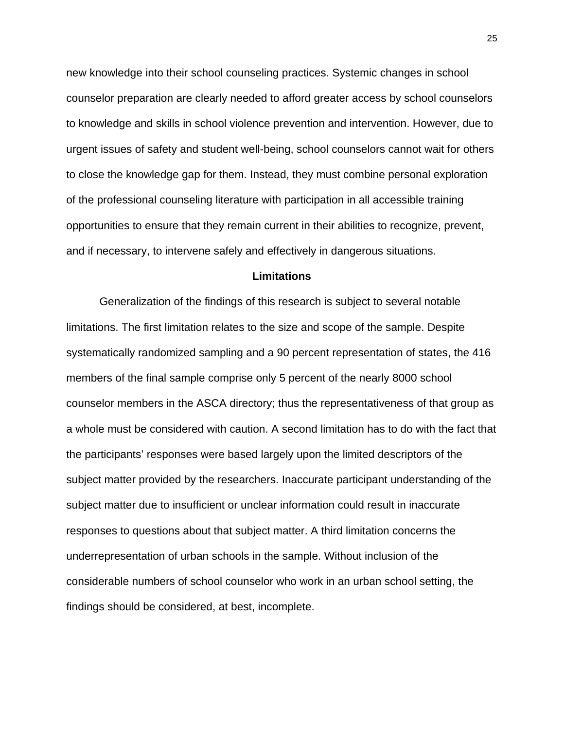new knowledge into their school counseling practices. Systemic changes in school counselor preparation are clearly needed to afford greater access by school counselors to knowledge and skills in school violence prevention and intervention. However, due to urgent issues of safety and student well-being, school counselors cannot wait for others to close the knowledge gap for them. Instead, they must combine personal exploration of the professional counseling literature with participation in all accessible training opportunities to ensure that they remain current in their abilities to recognize, prevent, and if necessary, to intervene safely and effectively in dangerous situations.

# **Limitations**

Generalization of the findings of this research is subject to several notable limitations. The first limitation relates to the size and scope of the sample. Despite systematically randomized sampling and a 90 percent representation of states, the 416 members of the final sample comprise only 5 percent of the nearly 8000 school counselor members in the ASCA directory; thus the representativeness of that group as a whole must be considered with caution. A second limitation has to do with the fact that the participants' responses were based largely upon the limited descriptors of the subject matter provided by the researchers. Inaccurate participant understanding of the subject matter due to insufficient or unclear information could result in inaccurate responses to questions about that subject matter. A third limitation concerns the underrepresentation of urban schools in the sample. Without inclusion of the considerable numbers of school counselor who work in an urban school setting, the findings should be considered, at best, incomplete.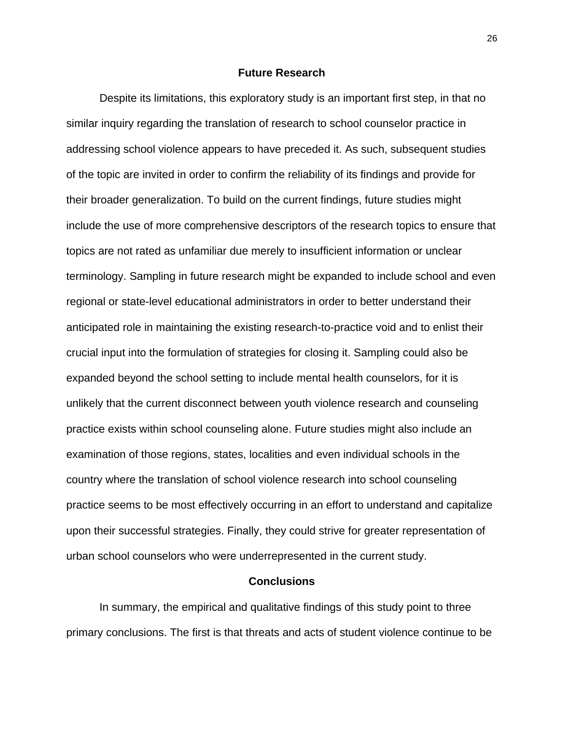#### **Future Research**

Despite its limitations, this exploratory study is an important first step, in that no similar inquiry regarding the translation of research to school counselor practice in addressing school violence appears to have preceded it. As such, subsequent studies of the topic are invited in order to confirm the reliability of its findings and provide for their broader generalization. To build on the current findings, future studies might include the use of more comprehensive descriptors of the research topics to ensure that topics are not rated as unfamiliar due merely to insufficient information or unclear terminology. Sampling in future research might be expanded to include school and even regional or state-level educational administrators in order to better understand their anticipated role in maintaining the existing research-to-practice void and to enlist their crucial input into the formulation of strategies for closing it. Sampling could also be expanded beyond the school setting to include mental health counselors, for it is unlikely that the current disconnect between youth violence research and counseling practice exists within school counseling alone. Future studies might also include an examination of those regions, states, localities and even individual schools in the country where the translation of school violence research into school counseling practice seems to be most effectively occurring in an effort to understand and capitalize upon their successful strategies. Finally, they could strive for greater representation of urban school counselors who were underrepresented in the current study.

#### **Conclusions**

In summary, the empirical and qualitative findings of this study point to three primary conclusions. The first is that threats and acts of student violence continue to be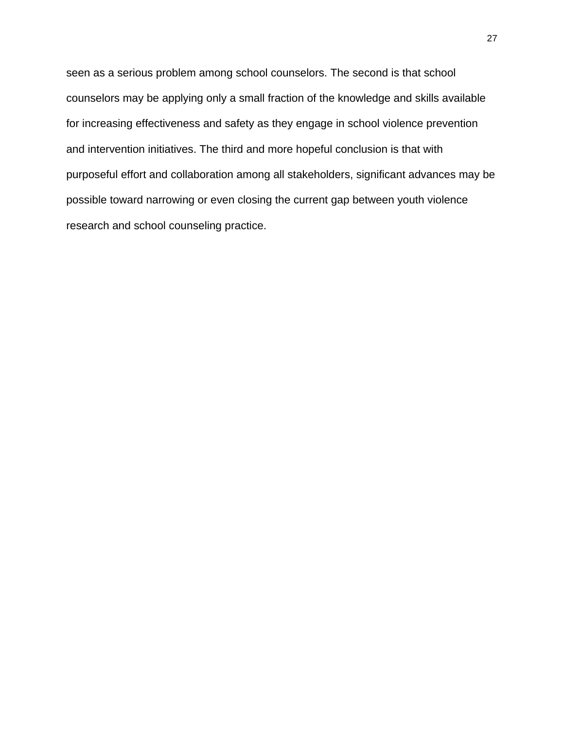seen as a serious problem among school counselors. The second is that school counselors may be applying only a small fraction of the knowledge and skills available for increasing effectiveness and safety as they engage in school violence prevention and intervention initiatives. The third and more hopeful conclusion is that with purposeful effort and collaboration among all stakeholders, significant advances may be possible toward narrowing or even closing the current gap between youth violence research and school counseling practice.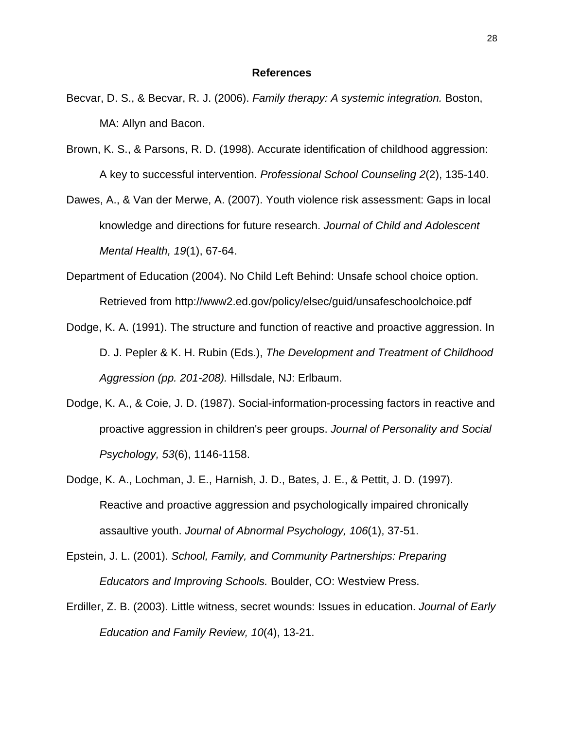#### **References**

- Becvar, D. S., & Becvar, R. J. (2006). *Family therapy: A systemic integration.* Boston, MA: Allyn and Bacon.
- Brown, K. S., & Parsons, R. D. (1998). Accurate identification of childhood aggression: A key to successful intervention. *Professional School Counseling 2*(2), 135-140.
- Dawes, A., & Van der Merwe, A. (2007). Youth violence risk assessment: Gaps in local knowledge and directions for future research. *Journal of Child and Adolescent Mental Health, 19*(1), 67-64.
- Department of Education (2004). No Child Left Behind: Unsafe school choice option. Retrieved from http://www2.ed.gov/policy/elsec/guid/unsafeschoolchoice.pdf
- Dodge, K. A. (1991). The structure and function of reactive and proactive aggression. In D. J. Pepler & K. H. Rubin (Eds.), *The Development and Treatment of Childhood Aggression (pp. 201-208).* Hillsdale, NJ: Erlbaum.
- Dodge, K. A., & Coie, J. D. (1987). Social-information-processing factors in reactive and proactive aggression in children's peer groups. *Journal of Personality and Social Psychology, 53*(6), 1146-1158.
- Dodge, K. A., Lochman, J. E., Harnish, J. D., Bates, J. E., & Pettit, J. D. (1997). Reactive and proactive aggression and psychologically impaired chronically assaultive youth. *Journal of Abnormal Psychology, 106*(1), 37-51.
- Epstein, J. L. (2001). *School, Family, and Community Partnerships: Preparing Educators and Improving Schools.* Boulder, CO: Westview Press.
- Erdiller, Z. B. (2003). Little witness, secret wounds: Issues in education. *Journal of Early Education and Family Review, 10*(4), 13-21.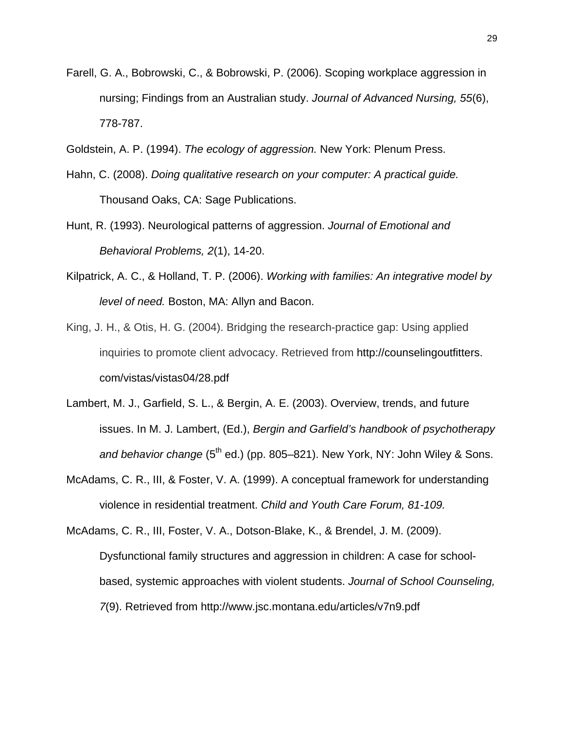- Farell, G. A., Bobrowski, C., & Bobrowski, P. (2006). Scoping workplace aggression in nursing; Findings from an Australian study. *Journal of Advanced Nursing, 55*(6), 778-787.
- Goldstein, A. P. (1994). *The ecology of aggression.* New York: Plenum Press.
- Hahn, C. (2008). *Doing qualitative research on your computer: A practical guide.*  Thousand Oaks, CA: Sage Publications.
- Hunt, R. (1993). Neurological patterns of aggression. *Journal of Emotional and Behavioral Problems, 2*(1), 14-20.
- Kilpatrick, A. C., & Holland, T. P. (2006). *Working with families: An integrative model by level of need.* Boston, MA: Allyn and Bacon.
- King, J. H., & Otis, H. G. (2004). Bridging the research-practice gap: Using applied inquiries to promote client advocacy. Retrieved from http://counselingoutfitters. com/vistas/vistas04/28.pdf
- Lambert, M. J., Garfield, S. L., & Bergin, A. E. (2003). Overview, trends, and future issues. In M. J. Lambert, (Ed.), *Bergin and Garfield's handbook of psychotherapy and behavior change* (5<sup>th</sup> ed.) (pp. 805–821). New York, NY: John Wiley & Sons.
- McAdams, C. R., III, & Foster, V. A. (1999). A conceptual framework for understanding violence in residential treatment. *Child and Youth Care Forum, 81-109.*

McAdams, C. R., III, Foster, V. A., Dotson-Blake, K., & Brendel, J. M. (2009). Dysfunctional family structures and aggression in children: A case for schoolbased, systemic approaches with violent students. *Journal of School Counseling, 7*(9). Retrieved from http://www.jsc.montana.edu/articles/v7n9.pdf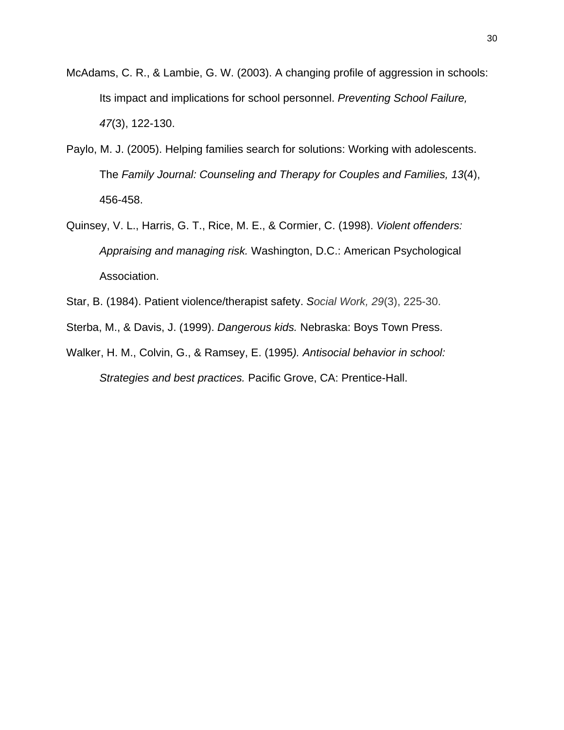- McAdams, C. R., & Lambie, G. W. (2003). A changing profile of aggression in schools: Its impact and implications for school personnel. *Preventing School Failure, 47*(3), 122-130.
- Paylo, M. J. (2005). Helping families search for solutions: Working with adolescents. The *Family Journal: Counseling and Therapy for Couples and Families, 13*(4), 456-458.
- Quinsey, V. L., Harris, G. T., Rice, M. E., & Cormier, C. (1998). *Violent offenders: Appraising and managing risk.* Washington, D.C.: American Psychological Association.
- Star, B. (1984). Patient violence/therapist safety. *Social Work, 29*(3), 225-30.
- Sterba, M., & Davis, J. (1999). *Dangerous kids.* Nebraska: Boys Town Press.
- Walker, H. M., Colvin, G., & Ramsey, E. (1995*). Antisocial behavior in school: Strategies and best practices.* Pacific Grove, CA: Prentice-Hall.